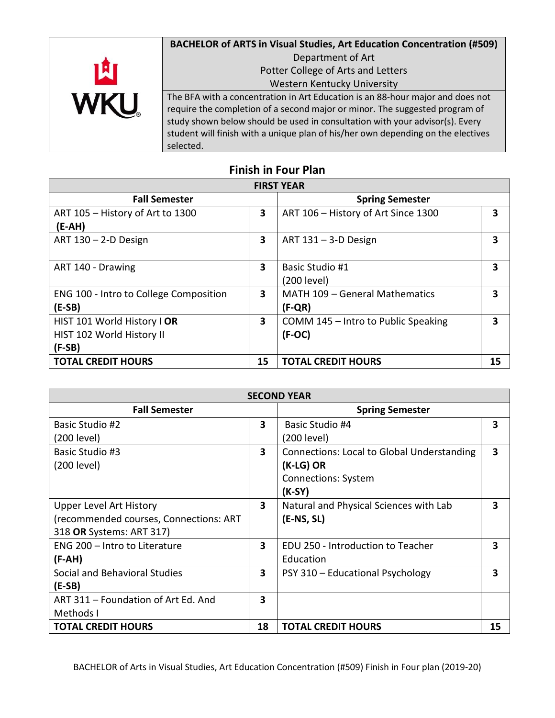

| <b>FIRST YEAR</b>                      |    |                                     |    |
|----------------------------------------|----|-------------------------------------|----|
| <b>Fall Semester</b>                   |    | <b>Spring Semester</b>              |    |
| ART 105 - History of Art to 1300       | 3  | ART 106 - History of Art Since 1300 | 3  |
| $(E-AH)$                               |    |                                     |    |
| ART $130 - 2-D$ Design                 | 3  | ART $131 - 3-D$ Design              | 3  |
|                                        |    |                                     |    |
| ART 140 - Drawing                      | 3  | Basic Studio #1                     | 3  |
|                                        |    | (200 level)                         |    |
| ENG 100 - Intro to College Composition | 3  | MATH 109 - General Mathematics      | 3  |
| $(E-SB)$                               |    | $(F-QR)$                            |    |
| HIST 101 World History I OR            | 3  | COMM 145 - Intro to Public Speaking | 3  |
| HIST 102 World History II              |    | $(F-OC)$                            |    |
| $(F-SB)$                               |    |                                     |    |
| <b>TOTAL CREDIT HOURS</b>              | 15 | <b>TOTAL CREDIT HOURS</b>           | 15 |

## **Finish in Four Plan**

| <b>SECOND YEAR</b>                     |                         |                                                   |    |
|----------------------------------------|-------------------------|---------------------------------------------------|----|
| <b>Fall Semester</b>                   |                         | <b>Spring Semester</b>                            |    |
| Basic Studio #2                        | 3                       | Basic Studio #4                                   | 3  |
| (200 level)                            |                         | (200 level)                                       |    |
| <b>Basic Studio #3</b>                 | 3                       | <b>Connections: Local to Global Understanding</b> | 3  |
| (200 level)                            |                         | (K-LG) OR                                         |    |
|                                        |                         | <b>Connections: System</b>                        |    |
|                                        |                         | $(K-SY)$                                          |    |
| <b>Upper Level Art History</b>         | $\overline{\mathbf{3}}$ | Natural and Physical Sciences with Lab            | 3  |
| (recommended courses, Connections: ART |                         | $(E-NS, SL)$                                      |    |
| 318 OR Systems: ART 317)               |                         |                                                   |    |
| ENG 200 - Intro to Literature          | 3                       | EDU 250 - Introduction to Teacher                 | 3  |
| (F-AH)                                 |                         | Education                                         |    |
| Social and Behavioral Studies          | $\overline{\mathbf{3}}$ | PSY 310 - Educational Psychology                  | 3  |
| $(E-SB)$                               |                         |                                                   |    |
| ART 311 - Foundation of Art Ed. And    | $\overline{\mathbf{3}}$ |                                                   |    |
| Methods I                              |                         |                                                   |    |
| <b>TOTAL CREDIT HOURS</b>              | 18                      | <b>TOTAL CREDIT HOURS</b>                         | 15 |